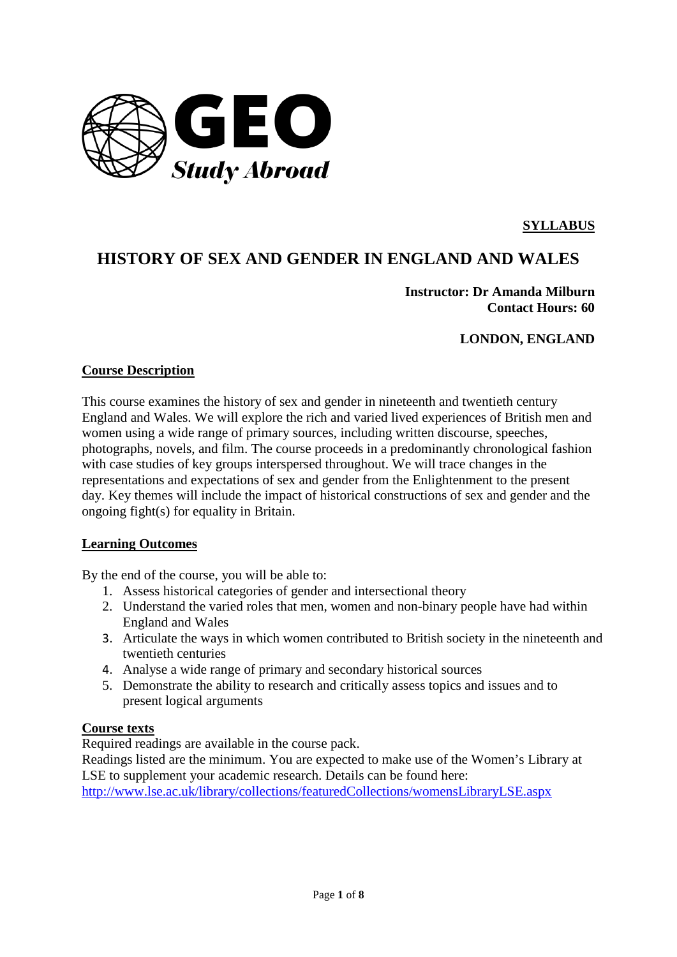

### **SYLLABUS**

# **HISTORY OF SEX AND GENDER IN ENGLAND AND WALES**

**Instructor: Dr Amanda Milburn Contact Hours: 60**

**LONDON, ENGLAND** 

### **Course Description**

This course examines the history of sex and gender in nineteenth and twentieth century England and Wales. We will explore the rich and varied lived experiences of British men and women using a wide range of primary sources, including written discourse, speeches, photographs, novels, and film. The course proceeds in a predominantly chronological fashion with case studies of key groups interspersed throughout. We will trace changes in the representations and expectations of sex and gender from the Enlightenment to the present day. Key themes will include the impact of historical constructions of sex and gender and the ongoing fight(s) for equality in Britain.

#### **Learning Outcomes**

By the end of the course, you will be able to:

- 1. Assess historical categories of gender and intersectional theory
- 2. Understand the varied roles that men, women and non-binary people have had within England and Wales
- 3. Articulate the ways in which women contributed to British society in the nineteenth and twentieth centuries
- 4. Analyse a wide range of primary and secondary historical sources
- 5. Demonstrate the ability to research and critically assess topics and issues and to present logical arguments

### **Course texts**

Required readings are available in the course pack.

Readings listed are the minimum. You are expected to make use of the Women's Library at LSE to supplement your academic research. Details can be found here:

<http://www.lse.ac.uk/library/collections/featuredCollections/womensLibraryLSE.aspx>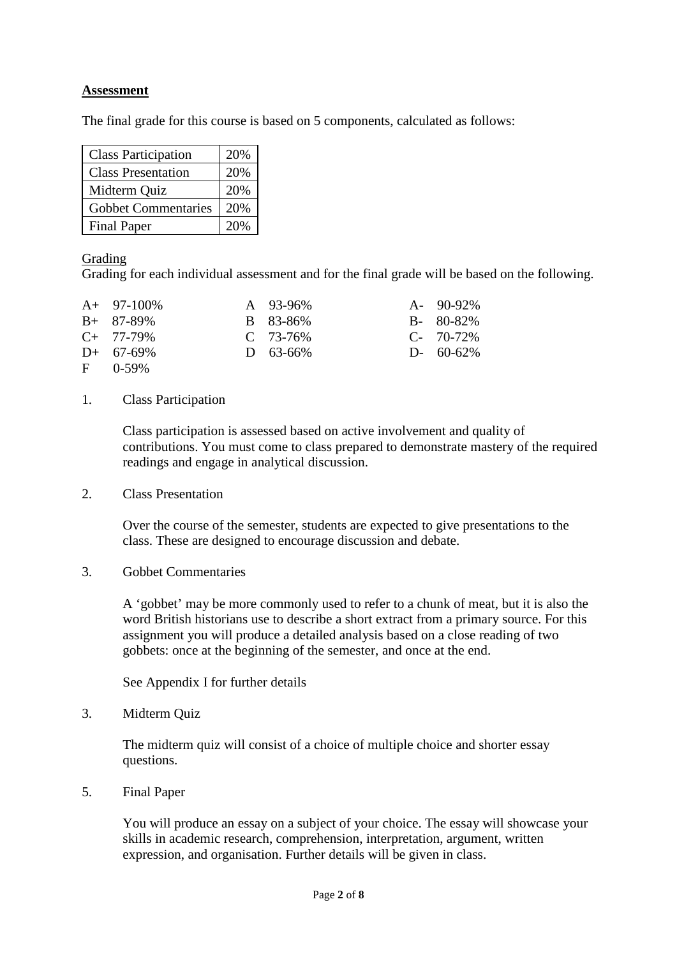### **Assessment**

The final grade for this course is based on 5 components, calculated as follows:

| <b>Class Participation</b> | 20% |
|----------------------------|-----|
| <b>Class Presentation</b>  | 20% |
| Midterm Quiz               | 20% |
| <b>Gobbet Commentaries</b> | 20% |
| <b>Final Paper</b>         | 20% |

### Grading

Grading for each individual assessment and for the final grade will be based on the following.

| $A+ 97-100\%$  | $A \quad 93-96\%$ | $A - 90-92\%$   |
|----------------|-------------------|-----------------|
| $B+ 87-89\%$   | B 83-86%          | $B - 80 - 82\%$ |
| $C_{+}$ 77-79% | $C$ 73-76%        | $C - 70-72\%$   |
| $D+ 67-69\%$   | $D = 63 - 66\%$   | $D - 60 - 62\%$ |
| $F = 0.59\%$   |                   |                 |

# 1. Class Participation

Class participation is assessed based on active involvement and quality of contributions. You must come to class prepared to demonstrate mastery of the required readings and engage in analytical discussion.

2. Class Presentation

Over the course of the semester, students are expected to give presentations to the class. These are designed to encourage discussion and debate.

#### 3. Gobbet Commentaries

A 'gobbet' may be more commonly used to refer to a chunk of meat, but it is also the word British historians use to describe a short extract from a primary source. For this assignment you will produce a detailed analysis based on a close reading of two gobbets: once at the beginning of the semester, and once at the end.

See Appendix I for further details

3. Midterm Quiz

The midterm quiz will consist of a choice of multiple choice and shorter essay questions.

5. Final Paper

You will produce an essay on a subject of your choice. The essay will showcase your skills in academic research, comprehension, interpretation, argument, written expression, and organisation. Further details will be given in class.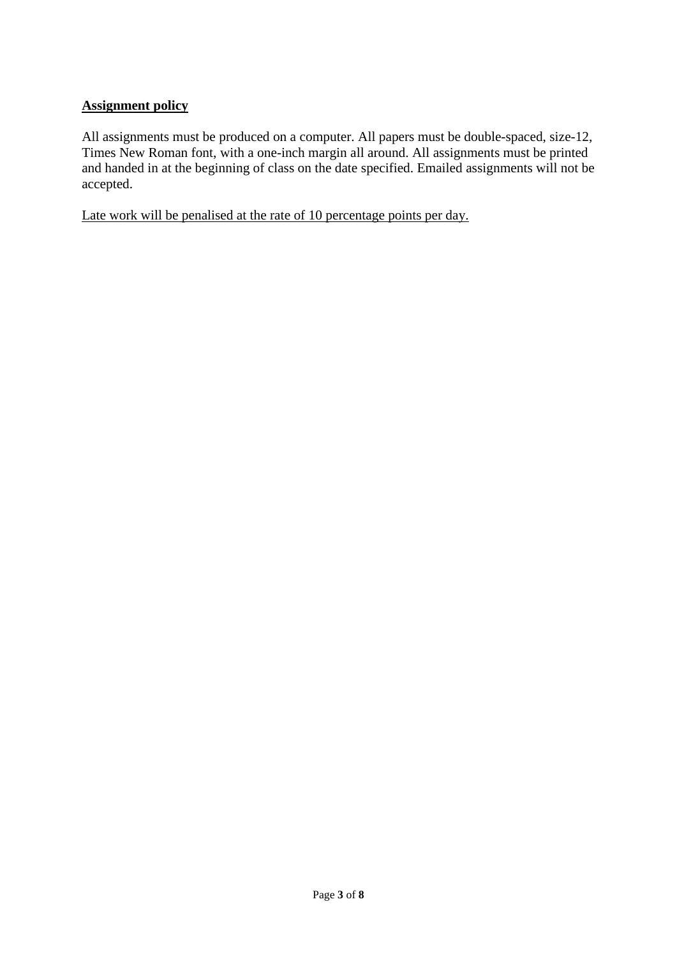### **Assignment policy**

All assignments must be produced on a computer. All papers must be double-spaced, size-12, Times New Roman font, with a one-inch margin all around. All assignments must be printed and handed in at the beginning of class on the date specified. Emailed assignments will not be accepted.

Late work will be penalised at the rate of 10 percentage points per day.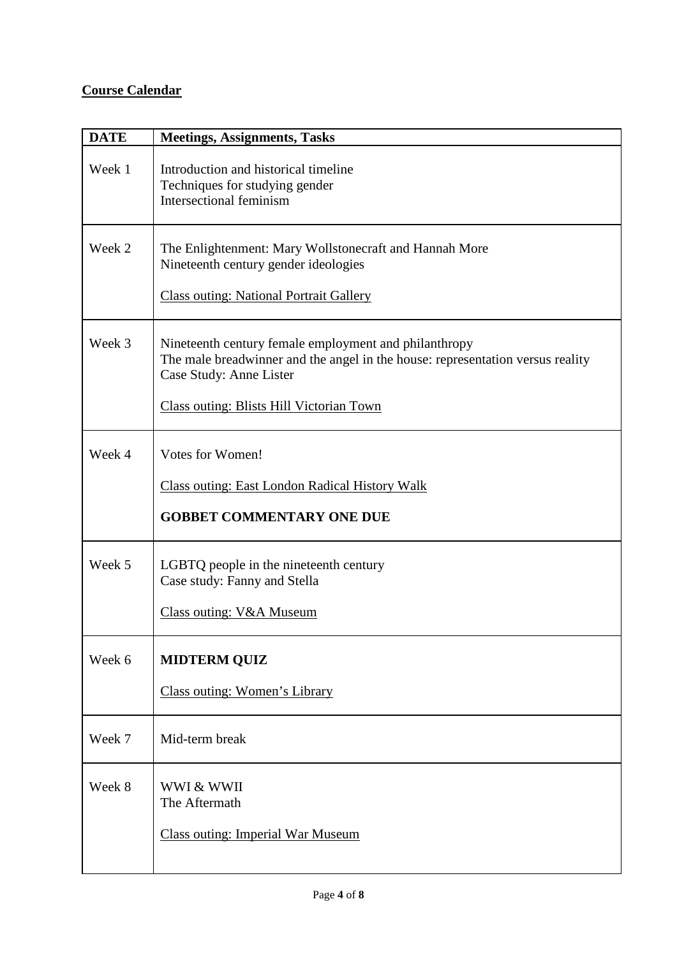# **Course Calendar**

| <b>DATE</b> | <b>Meetings, Assignments, Tasks</b>                                                                                                                                                                            |
|-------------|----------------------------------------------------------------------------------------------------------------------------------------------------------------------------------------------------------------|
| Week 1      | Introduction and historical timeline<br>Techniques for studying gender<br>Intersectional feminism                                                                                                              |
| Week 2      | The Enlightenment: Mary Wollstonecraft and Hannah More<br>Nineteenth century gender ideologies<br><b>Class outing: National Portrait Gallery</b>                                                               |
| Week 3      | Nineteenth century female employment and philanthropy<br>The male breadwinner and the angel in the house: representation versus reality<br>Case Study: Anne Lister<br>Class outing: Blists Hill Victorian Town |
| Week 4      | <b>Votes for Women!</b><br><b>Class outing: East London Radical History Walk</b><br><b>GOBBET COMMENTARY ONE DUE</b>                                                                                           |
| Week 5      | LGBTQ people in the nineteenth century<br>Case study: Fanny and Stella<br><b>Class outing: V&amp;A Museum</b>                                                                                                  |
| Week 6      | <b>MIDTERM QUIZ</b><br>Class outing: Women's Library                                                                                                                                                           |
| Week 7      | Mid-term break                                                                                                                                                                                                 |
| Week 8      | WWI & WWII<br>The Aftermath<br><b>Class outing: Imperial War Museum</b>                                                                                                                                        |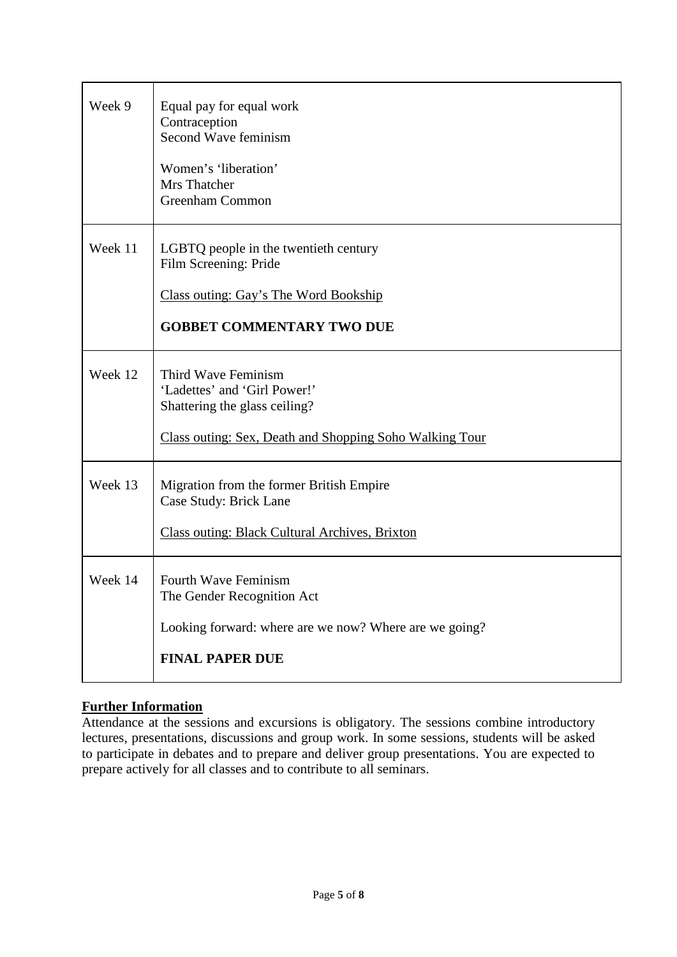| Week 9  | Equal pay for equal work<br>Contraception<br>Second Wave feminism<br>Women's 'liberation'<br>Mrs Thatcher<br>Greenham Common                    |
|---------|-------------------------------------------------------------------------------------------------------------------------------------------------|
| Week 11 | LGBTQ people in the twentieth century<br>Film Screening: Pride<br>Class outing: Gay's The Word Bookship<br><b>GOBBET COMMENTARY TWO DUE</b>     |
| Week 12 | Third Wave Feminism<br>'Ladettes' and 'Girl Power!'<br>Shattering the glass ceiling?<br>Class outing: Sex, Death and Shopping Soho Walking Tour |
| Week 13 | Migration from the former British Empire<br>Case Study: Brick Lane<br><b>Class outing: Black Cultural Archives, Brixton</b>                     |
| Week 14 | <b>Fourth Wave Feminism</b><br>The Gender Recognition Act<br>Looking forward: where are we now? Where are we going?<br><b>FINAL PAPER DUE</b>   |

## **Further Information**

Attendance at the sessions and excursions is obligatory. The sessions combine introductory lectures, presentations, discussions and group work. In some sessions, students will be asked to participate in debates and to prepare and deliver group presentations. You are expected to prepare actively for all classes and to contribute to all seminars.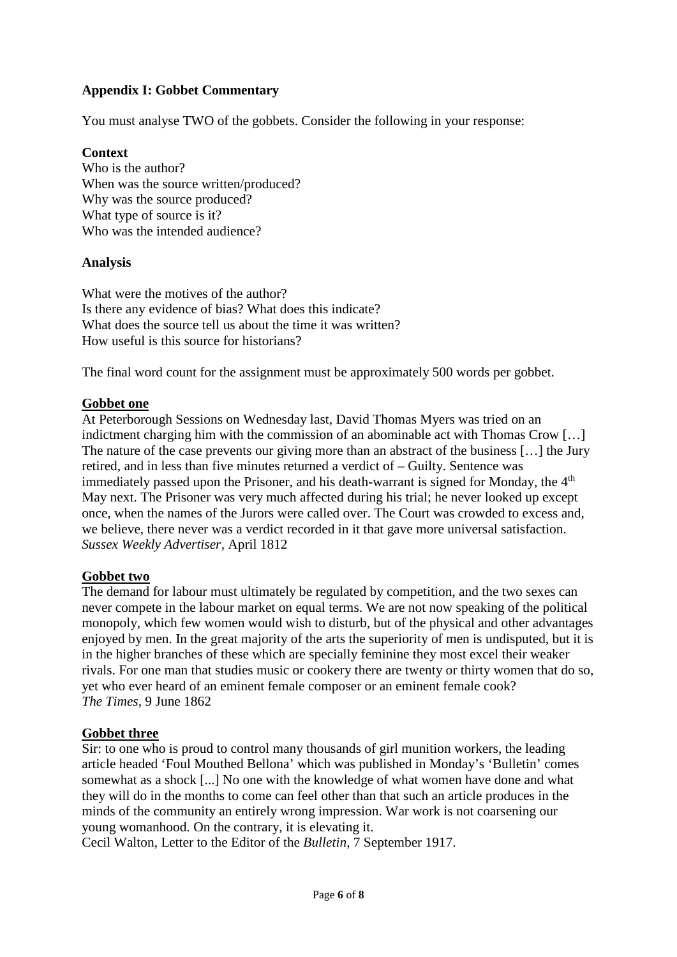### **Appendix I: Gobbet Commentary**

You must analyse TWO of the gobbets. Consider the following in your response:

### **Context**

Who is the author? When was the source written/produced? Why was the source produced? What type of source is it? Who was the intended audience?

### **Analysis**

What were the motives of the author? Is there any evidence of bias? What does this indicate? What does the source tell us about the time it was written? How useful is this source for historians?

The final word count for the assignment must be approximately 500 words per gobbet.

#### **Gobbet one**

At Peterborough Sessions on Wednesday last, David Thomas Myers was tried on an indictment charging him with the commission of an abominable act with Thomas Crow […] The nature of the case prevents our giving more than an abstract of the business […] the Jury retired, and in less than five minutes returned a verdict of – Guilty. Sentence was immediately passed upon the Prisoner, and his death-warrant is signed for Monday, the  $4<sup>th</sup>$ May next. The Prisoner was very much affected during his trial; he never looked up except once, when the names of the Jurors were called over. The Court was crowded to excess and, we believe, there never was a verdict recorded in it that gave more universal satisfaction. *Sussex Weekly Advertiser*, April 1812

#### **Gobbet two**

The demand for labour must ultimately be regulated by competition, and the two sexes can never compete in the labour market on equal terms. We are not now speaking of the political monopoly, which few women would wish to disturb, but of the physical and other advantages enjoyed by men. In the great majority of the arts the superiority of men is undisputed, but it is in the higher branches of these which are specially feminine they most excel their weaker rivals. For one man that studies music or cookery there are twenty or thirty women that do so, yet who ever heard of an eminent female composer or an eminent female cook? *The Times*, 9 June 1862

#### **Gobbet three**

Sir: to one who is proud to control many thousands of girl munition workers, the leading article headed 'Foul Mouthed Bellona' which was published in Monday's 'Bulletin' comes somewhat as a shock [...] No one with the knowledge of what women have done and what they will do in the months to come can feel other than that such an article produces in the minds of the community an entirely wrong impression. War work is not coarsening our young womanhood. On the contrary, it is elevating it.

Cecil Walton, Letter to the Editor of the *Bulletin*, 7 September 1917.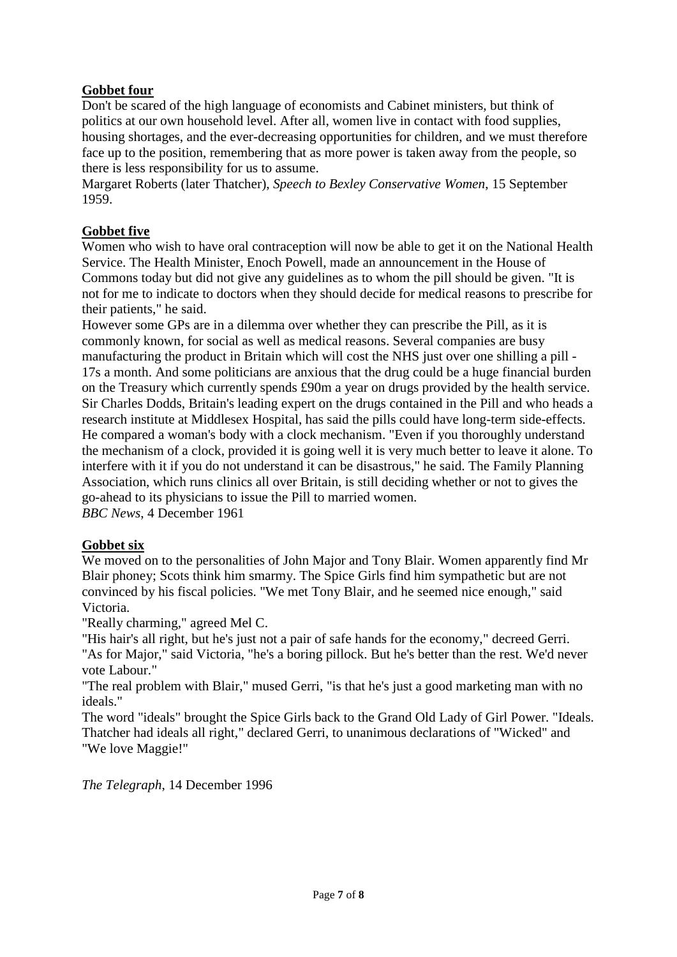### **Gobbet four**

Don't be scared of the high language of economists and Cabinet ministers, but think of politics at our own household level. After all, women live in contact with food supplies, housing shortages, and the ever-decreasing opportunities for children, and we must therefore face up to the position, remembering that as more power is taken away from the people, so there is less responsibility for us to assume.

Margaret Roberts (later Thatcher), *Speech to Bexley Conservative Women*, 15 September 1959.

### **Gobbet five**

Women who wish to have oral contraception will now be able to get it on the National Health Service. The Health Minister, Enoch Powell, made an announcement in the House of Commons today but did not give any guidelines as to whom the pill should be given. "It is not for me to indicate to doctors when they should decide for medical reasons to prescribe for their patients," he said.

However some GPs are in a dilemma over whether they can prescribe the Pill, as it is commonly known, for social as well as medical reasons. Several companies are busy manufacturing the product in Britain which will cost the NHS just over one shilling a pill - 17s a month. And some politicians are anxious that the drug could be a huge financial burden on the Treasury which currently spends £90m a year on drugs provided by the health service. Sir Charles Dodds, Britain's leading expert on the drugs contained in the Pill and who heads a research institute at Middlesex Hospital, has said the pills could have long-term side-effects. He compared a woman's body with a clock mechanism. "Even if you thoroughly understand the mechanism of a clock, provided it is going well it is very much better to leave it alone. To interfere with it if you do not understand it can be disastrous," he said. The Family Planning Association, which runs clinics all over Britain, is still deciding whether or not to gives the go-ahead to its physicians to issue the Pill to married women. *BBC News*, 4 December 1961

### **Gobbet six**

We moved on to the personalities of John Major and Tony Blair. Women apparently find Mr Blair phoney; Scots think him smarmy. The Spice Girls find him sympathetic but are not convinced by his fiscal policies. "We met Tony Blair, and he seemed nice enough," said Victoria.

"Really charming," agreed Mel C.

"His hair's all right, but he's just not a pair of safe hands for the economy," decreed Gerri. "As for Major," said Victoria, "he's a boring pillock. But he's better than the rest. We'd never vote Labour."

"The real problem with Blair," mused Gerri, "is that he's just a good marketing man with no ideals."

The word "ideals" brought the Spice Girls back to the Grand Old Lady of Girl Power. "Ideals. Thatcher had ideals all right," declared Gerri, to unanimous declarations of "Wicked" and "We love Maggie!"

*The Telegraph*, 14 December 1996